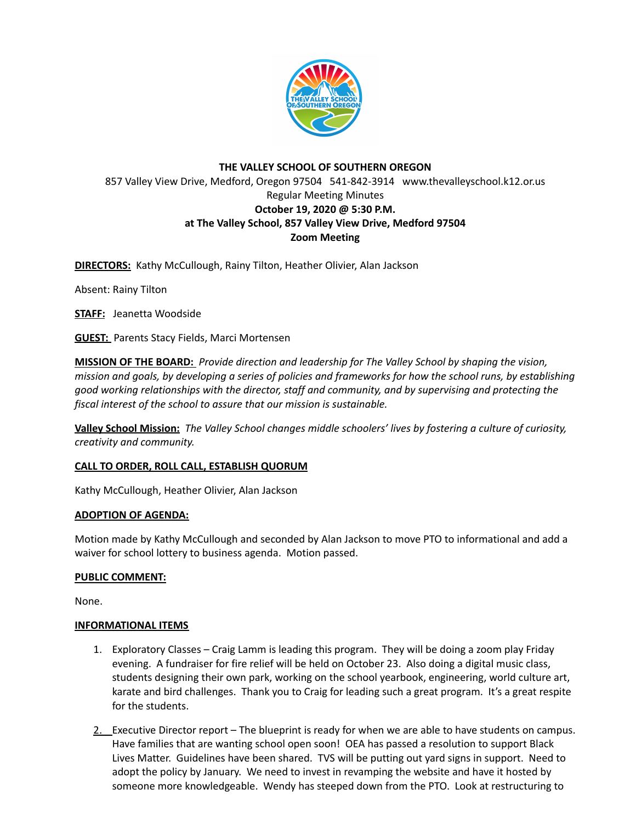

# **THE VALLEY SCHOOL OF SOUTHERN OREGON** 857 Valley View Drive, Medford, Oregon 97504 541-842-3914 www.thevalleyschool.k12.or.us Regular Meeting Minutes **October 19, 2020 @ 5:30 P.M. at The Valley School, 857 Valley View Drive, Medford 97504 Zoom Meeting**

**DIRECTORS:** Kathy McCullough, Rainy Tilton, Heather Olivier, Alan Jackson

Absent: Rainy Tilton

**STAFF:** Jeanetta Woodside

**GUEST:** Parents Stacy Fields, Marci Mortensen

**MISSION OF THE BOARD:** *Provide direction and leadership for The Valley School by shaping the vision,* mission and goals, by developing a series of policies and frameworks for how the school runs, by establishing *good working relationships with the director, staff and community, and by supervising and protecting the fiscal interest of the school to assure that our mission is sustainable.*

**Valley School Mission:** *The Valley School changes middle schoolers' lives by fostering a culture of curiosity, creativity and community.*

## **CALL TO ORDER, ROLL CALL, ESTABLISH QUORUM**

Kathy McCullough, Heather Olivier, Alan Jackson

## **ADOPTION OF AGENDA:**

Motion made by Kathy McCullough and seconded by Alan Jackson to move PTO to informational and add a waiver for school lottery to business agenda. Motion passed.

## **PUBLIC COMMENT:**

None.

## **INFORMATIONAL ITEMS**

- 1. Exploratory Classes Craig Lamm is leading this program. They will be doing a zoom play Friday evening. A fundraiser for fire relief will be held on October 23. Also doing a digital music class, students designing their own park, working on the school yearbook, engineering, world culture art, karate and bird challenges. Thank you to Craig for leading such a great program. It's a great respite for the students.
- 2. Executive Director report The blueprint is ready for when we are able to have students on campus. Have families that are wanting school open soon! OEA has passed a resolution to support Black Lives Matter. Guidelines have been shared. TVS will be putting out yard signs in support. Need to adopt the policy by January. We need to invest in revamping the website and have it hosted by someone more knowledgeable. Wendy has steeped down from the PTO. Look at restructuring to